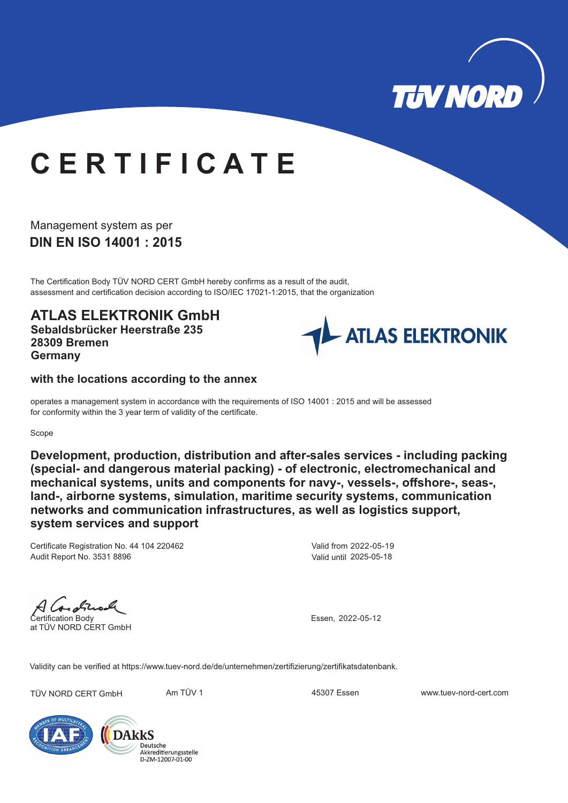

# **C E R T I F I C A T E**

**DIN EN ISO 14001 : 2015** Management system as per

The Certification Body TÜV NORD CERT GmbH hereby confirms as a result of the audit, assessment and certification decision according to ISO/IEC 17021-1:2015, that the organization

**ATLAS ELEKTRONIK GmbH Sebaldsbrücker Heerstraße 235 28309 Bremen Germany**



### **with the locations according to the annex**

operates a management system in accordance with the requirements of ISO 14001 : 2015 and will be assessed for conformity within the 3 year term of validity of the certificate.

#### Scope

**Development, production, distribution and after-sales services - including packing (special- and dangerous material packing) - of electronic, electromechanical and mechanical systems, units and components for navy-, vessels-, offshore-, seas-, land-, airborne systems, simulation, maritime security systems, communication networks and communication infrastructures, as well as logistics support, system services and support**

Certificate Registration No. 44 104 220462 Audit Report No. 3531 8896

Valid from 2022-05-19 Valid until 2025-05-18

H Care obtical

at TÜV NORD CERT GmbH

Essen, 2022-05-12

Validity can be verified at https://www.tuev-nord.de/de/unternehmen/zertifizierung/zertifikatsdatenbank.

TÜV NORD CERT GmbH Am TÜV 1 45307 Essen www.tuev-nord-cert.com